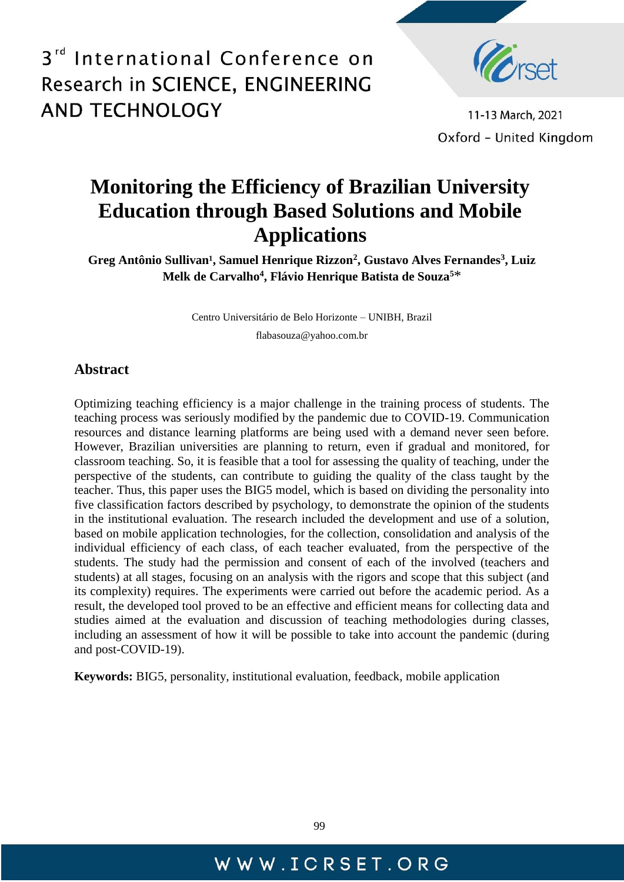

11-13 March, 2021 Oxford - United Kingdom

## **Monitoring the Efficiency of Brazilian University Education through Based Solutions and Mobile Applications**

Greg Antônio Sullivan<sup>1</sup>, Samuel Henrique Rizzon<sup>2</sup>, Gustavo Alves Fernandes<sup>3</sup>, Luiz **Melk de Carvalho<sup>4</sup> , Flávio Henrique Batista de Souza<sup>5</sup>**\*

Centro Universitário de Belo Horizonte – UNIBH, Brazil

flabasouza@yahoo.com.br

### **Abstract**

Optimizing teaching efficiency is a major challenge in the training process of students. The teaching process was seriously modified by the pandemic due to COVID-19. Communication resources and distance learning platforms are being used with a demand never seen before. However, Brazilian universities are planning to return, even if gradual and monitored, for classroom teaching. So, it is feasible that a tool for assessing the quality of teaching, under the perspective of the students, can contribute to guiding the quality of the class taught by the teacher. Thus, this paper uses the BIG5 model, which is based on dividing the personality into five classification factors described by psychology, to demonstrate the opinion of the students in the institutional evaluation. The research included the development and use of a solution, based on mobile application technologies, for the collection, consolidation and analysis of the individual efficiency of each class, of each teacher evaluated, from the perspective of the students. The study had the permission and consent of each of the involved (teachers and students) at all stages, focusing on an analysis with the rigors and scope that this subject (and its complexity) requires. The experiments were carried out before the academic period. As a result, the developed tool proved to be an effective and efficient means for collecting data and studies aimed at the evaluation and discussion of teaching methodologies during classes, including an assessment of how it will be possible to take into account the pandemic (during and post-COVID-19).

**Keywords:** BIG5, personality, institutional evaluation, feedback, mobile application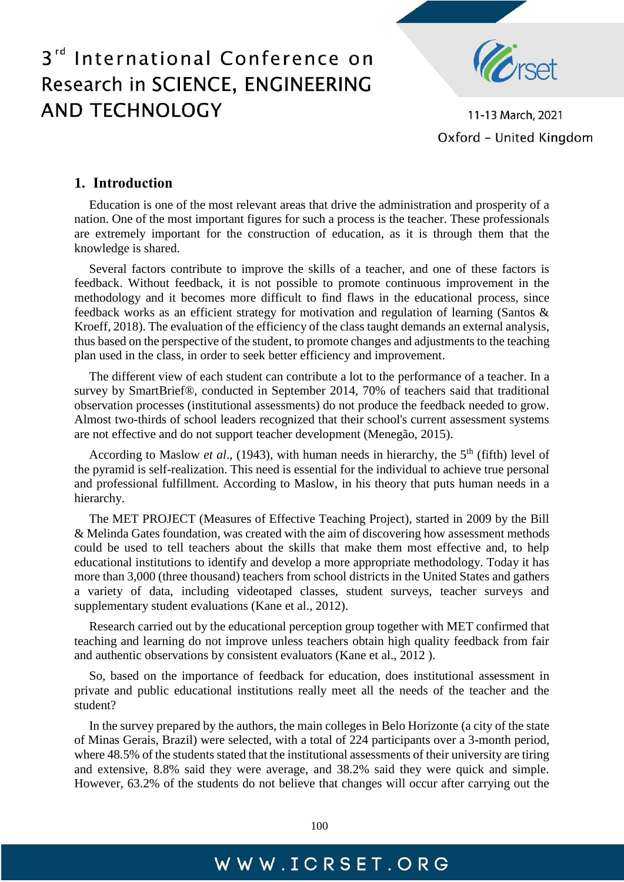

11-13 March, 2021 Oxford - United Kingdom

### **1. Introduction**

Education is one of the most relevant areas that drive the administration and prosperity of a nation. One of the most important figures for such a process is the teacher. These professionals are extremely important for the construction of education, as it is through them that the knowledge is shared.

Several factors contribute to improve the skills of a teacher, and one of these factors is feedback. Without feedback, it is not possible to promote continuous improvement in the methodology and it becomes more difficult to find flaws in the educational process, since feedback works as an efficient strategy for motivation and regulation of learning (Santos & Kroeff, 2018). The evaluation of the efficiency of the class taught demands an external analysis, thus based on the perspective of the student, to promote changes and adjustments to the teaching plan used in the class, in order to seek better efficiency and improvement.

The different view of each student can contribute a lot to the performance of a teacher. In a survey by SmartBrief®, conducted in September 2014, 70% of teachers said that traditional observation processes (institutional assessments) do not produce the feedback needed to grow. Almost two-thirds of school leaders recognized that their school's current assessment systems are not effective and do not support teacher development (Menegão, 2015).

According to Maslow *et al.*, (1943), with human needs in hierarchy, the 5<sup>th</sup> (fifth) level of the pyramid is self-realization. This need is essential for the individual to achieve true personal and professional fulfillment. According to Maslow, in his theory that puts human needs in a hierarchy.

The MET PROJECT (Measures of Effective Teaching Project), started in 2009 by the Bill & Melinda Gates foundation, was created with the aim of discovering how assessment methods could be used to tell teachers about the skills that make them most effective and, to help educational institutions to identify and develop a more appropriate methodology. Today it has more than 3,000 (three thousand) teachers from school districts in the United States and gathers a variety of data, including videotaped classes, student surveys, teacher surveys and supplementary student evaluations (Kane et al., 2012).

Research carried out by the educational perception group together with MET confirmed that teaching and learning do not improve unless teachers obtain high quality feedback from fair and authentic observations by consistent evaluators (Kane et al., 2012 ).

So, based on the importance of feedback for education, does institutional assessment in private and public educational institutions really meet all the needs of the teacher and the student?

In the survey prepared by the authors, the main colleges in Belo Horizonte (a city of the state of Minas Gerais, Brazil) were selected, with a total of 224 participants over a 3-month period, where 48.5% of the students stated that the institutional assessments of their university are tiring and extensive, 8.8% said they were average, and 38.2% said they were quick and simple. However, 63.2% of the students do not believe that changes will occur after carrying out the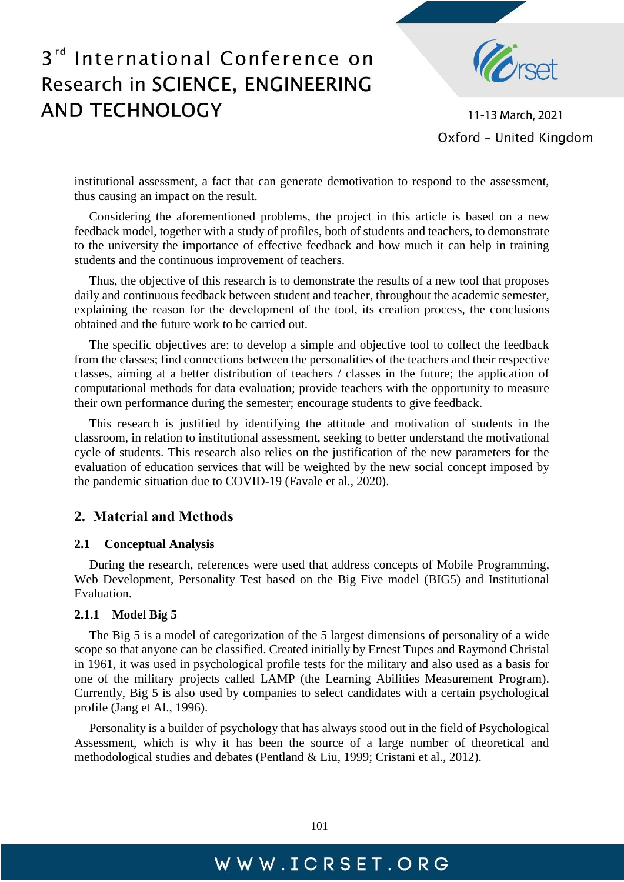

11-13 March, 2021 Oxford - United Kingdom

institutional assessment, a fact that can generate demotivation to respond to the assessment, thus causing an impact on the result.

Considering the aforementioned problems, the project in this article is based on a new feedback model, together with a study of profiles, both of students and teachers, to demonstrate to the university the importance of effective feedback and how much it can help in training students and the continuous improvement of teachers.

Thus, the objective of this research is to demonstrate the results of a new tool that proposes daily and continuous feedback between student and teacher, throughout the academic semester, explaining the reason for the development of the tool, its creation process, the conclusions obtained and the future work to be carried out.

The specific objectives are: to develop a simple and objective tool to collect the feedback from the classes; find connections between the personalities of the teachers and their respective classes, aiming at a better distribution of teachers / classes in the future; the application of computational methods for data evaluation; provide teachers with the opportunity to measure their own performance during the semester; encourage students to give feedback.

This research is justified by identifying the attitude and motivation of students in the classroom, in relation to institutional assessment, seeking to better understand the motivational cycle of students. This research also relies on the justification of the new parameters for the evaluation of education services that will be weighted by the new social concept imposed by the pandemic situation due to COVID-19 (Favale et al., 2020).

### **2. Material and Methods**

#### **2.1 Conceptual Analysis**

During the research, references were used that address concepts of Mobile Programming, Web Development, Personality Test based on the Big Five model (BIG5) and Institutional Evaluation.

#### **2.1.1 Model Big 5**

The Big 5 is a model of categorization of the 5 largest dimensions of personality of a wide scope so that anyone can be classified. Created initially by Ernest Tupes and Raymond Christal in 1961, it was used in psychological profile tests for the military and also used as a basis for one of the military projects called LAMP (the Learning Abilities Measurement Program). Currently, Big 5 is also used by companies to select candidates with a certain psychological profile (Jang et Al., 1996).

Personality is a builder of psychology that has always stood out in the field of Psychological Assessment, which is why it has been the source of a large number of theoretical and methodological studies and debates (Pentland & Liu, 1999; Cristani et al., 2012).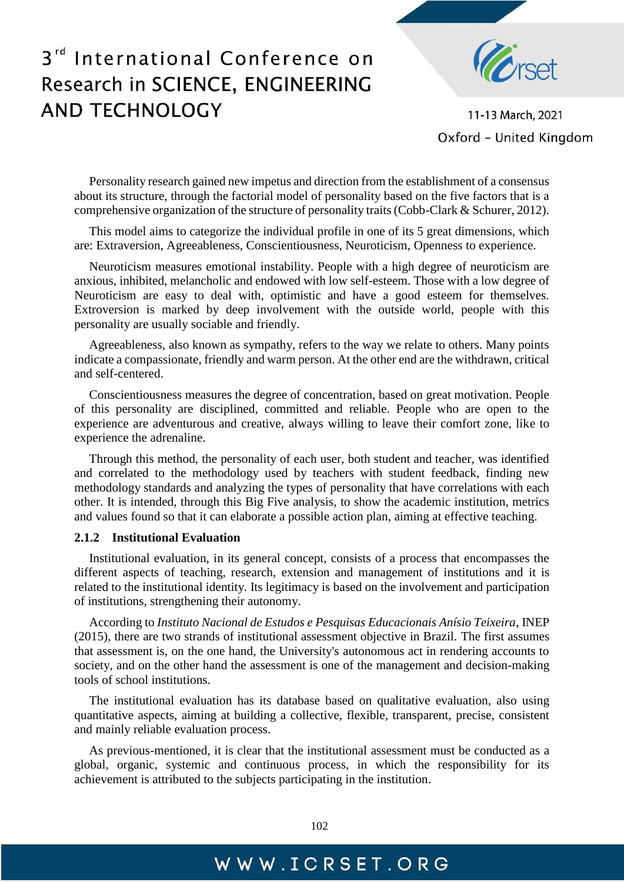

11-13 March, 2021 Oxford - United Kingdom

Personality research gained new impetus and direction from the establishment of a consensus about its structure, through the factorial model of personality based on the five factors that is a comprehensive organization of the structure of personality traits (Cobb-Clark & Schurer, 2012).

This model aims to categorize the individual profile in one of its 5 great dimensions, which are: Extraversion, Agreeableness, Conscientiousness, Neuroticism, Openness to experience.

Neuroticism measures emotional instability. People with a high degree of neuroticism are anxious, inhibited, melancholic and endowed with low self-esteem. Those with a low degree of Neuroticism are easy to deal with, optimistic and have a good esteem for themselves. Extroversion is marked by deep involvement with the outside world, people with this personality are usually sociable and friendly.

Agreeableness, also known as sympathy, refers to the way we relate to others. Many points indicate a compassionate, friendly and warm person. At the other end are the withdrawn, critical and self-centered.

Conscientiousness measures the degree of concentration, based on great motivation. People of this personality are disciplined, committed and reliable. People who are open to the experience are adventurous and creative, always willing to leave their comfort zone, like to experience the adrenaline.

Through this method, the personality of each user, both student and teacher, was identified and correlated to the methodology used by teachers with student feedback, finding new methodology standards and analyzing the types of personality that have correlations with each other. It is intended, through this Big Five analysis, to show the academic institution, metrics and values found so that it can elaborate a possible action plan, aiming at effective teaching.

#### **2.1.2 Institutional Evaluation**

Institutional evaluation, in its general concept, consists of a process that encompasses the different aspects of teaching, research, extension and management of institutions and it is related to the institutional identity. Its legitimacy is based on the involvement and participation of institutions, strengthening their autonomy.

According to *Instituto Nacional de Estudos e Pesquisas Educacionais Anísio Teixeira*, INEP (2015), there are two strands of institutional assessment objective in Brazil. The first assumes that assessment is, on the one hand, the University's autonomous act in rendering accounts to society, and on the other hand the assessment is one of the management and decision-making tools of school institutions.

The institutional evaluation has its database based on qualitative evaluation, also using quantitative aspects, aiming at building a collective, flexible, transparent, precise, consistent and mainly reliable evaluation process.

As previous-mentioned, it is clear that the institutional assessment must be conducted as a global, organic, systemic and continuous process, in which the responsibility for its achievement is attributed to the subjects participating in the institution.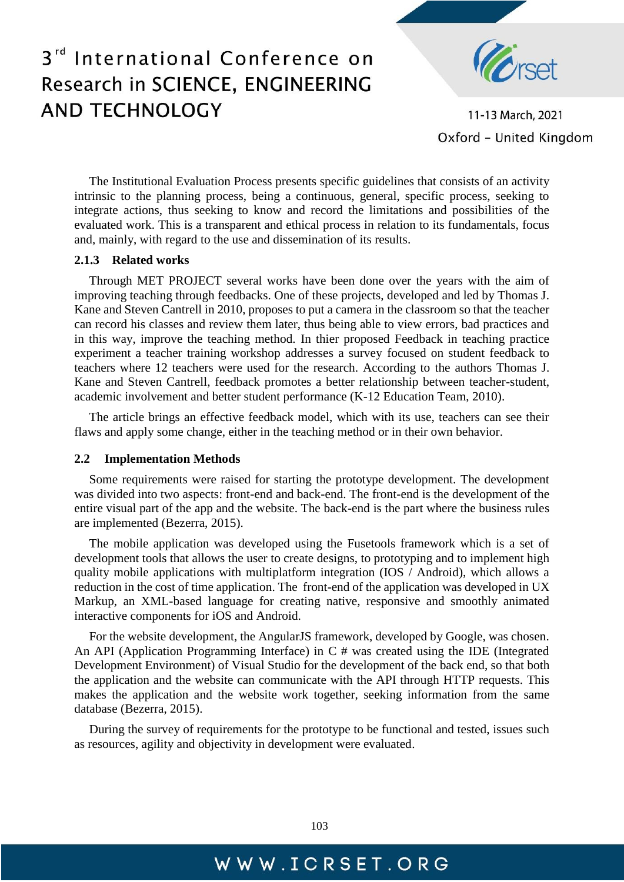

11-13 March, 2021 Oxford - United Kingdom

The Institutional Evaluation Process presents specific guidelines that consists of an activity intrinsic to the planning process, being a continuous, general, specific process, seeking to integrate actions, thus seeking to know and record the limitations and possibilities of the evaluated work. This is a transparent and ethical process in relation to its fundamentals, focus and, mainly, with regard to the use and dissemination of its results.

#### **2.1.3 Related works**

Through MET PROJECT several works have been done over the years with the aim of improving teaching through feedbacks. One of these projects, developed and led by Thomas J. Kane and Steven Cantrell in 2010, proposes to put a camera in the classroom so that the teacher can record his classes and review them later, thus being able to view errors, bad practices and in this way, improve the teaching method. In thier proposed Feedback in teaching practice experiment a teacher training workshop addresses a survey focused on student feedback to teachers where 12 teachers were used for the research. According to the authors Thomas J. Kane and Steven Cantrell, feedback promotes a better relationship between teacher-student, academic involvement and better student performance (K-12 Education Team, 2010).

The article brings an effective feedback model, which with its use, teachers can see their flaws and apply some change, either in the teaching method or in their own behavior.

#### **2.2 Implementation Methods**

Some requirements were raised for starting the prototype development. The development was divided into two aspects: front-end and back-end. The front-end is the development of the entire visual part of the app and the website. The back-end is the part where the business rules are implemented (Bezerra, 2015).

The mobile application was developed using the Fusetools framework which is a set of development tools that allows the user to create designs, to prototyping and to implement high quality mobile applications with multiplatform integration (IOS / Android), which allows a reduction in the cost of time application. The front-end of the application was developed in UX Markup, an XML-based language for creating native, responsive and smoothly animated interactive components for iOS and Android.

For the website development, the AngularJS framework, developed by Google, was chosen. An API (Application Programming Interface) in C # was created using the IDE (Integrated Development Environment) of Visual Studio for the development of the back end, so that both the application and the website can communicate with the API through HTTP requests. This makes the application and the website work together, seeking information from the same database (Bezerra, 2015).

During the survey of requirements for the prototype to be functional and tested, issues such as resources, agility and objectivity in development were evaluated.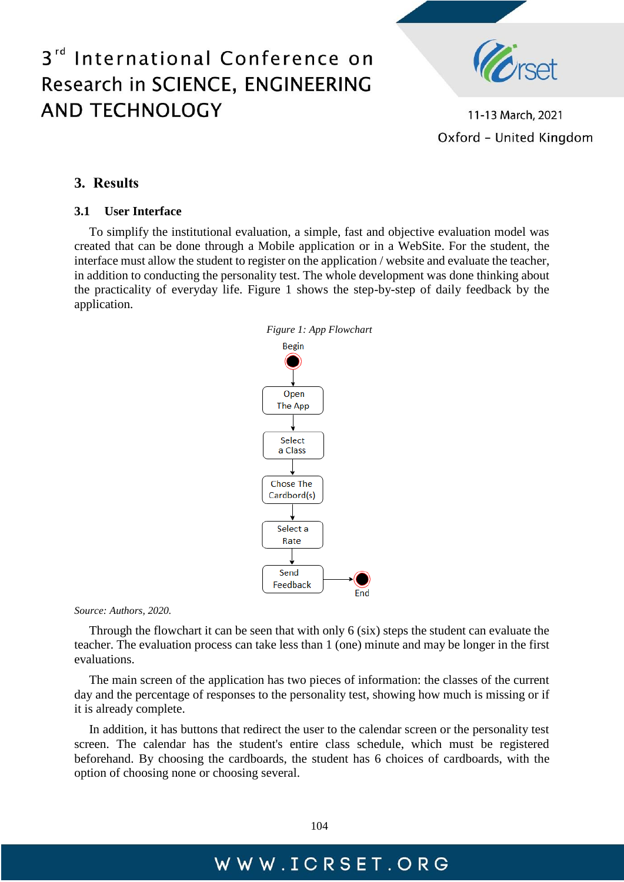

11-13 March, 2021 Oxford - United Kingdom

#### **3. Results**

#### **3.1 User Interface**

To simplify the institutional evaluation, a simple, fast and objective evaluation model was created that can be done through a Mobile application or in a WebSite. For the student, the interface must allow the student to register on the application / website and evaluate the teacher, in addition to conducting the personality test. The whole development was done thinking about the practicality of everyday life. Figure 1 shows the step-by-step of daily feedback by the application.



*Source: Authors, 2020.*

Through the flowchart it can be seen that with only 6 (six) steps the student can evaluate the teacher. The evaluation process can take less than 1 (one) minute and may be longer in the first evaluations.

The main screen of the application has two pieces of information: the classes of the current day and the percentage of responses to the personality test, showing how much is missing or if it is already complete.

In addition, it has buttons that redirect the user to the calendar screen or the personality test screen. The calendar has the student's entire class schedule, which must be registered beforehand. By choosing the cardboards, the student has 6 choices of cardboards, with the option of choosing none or choosing several.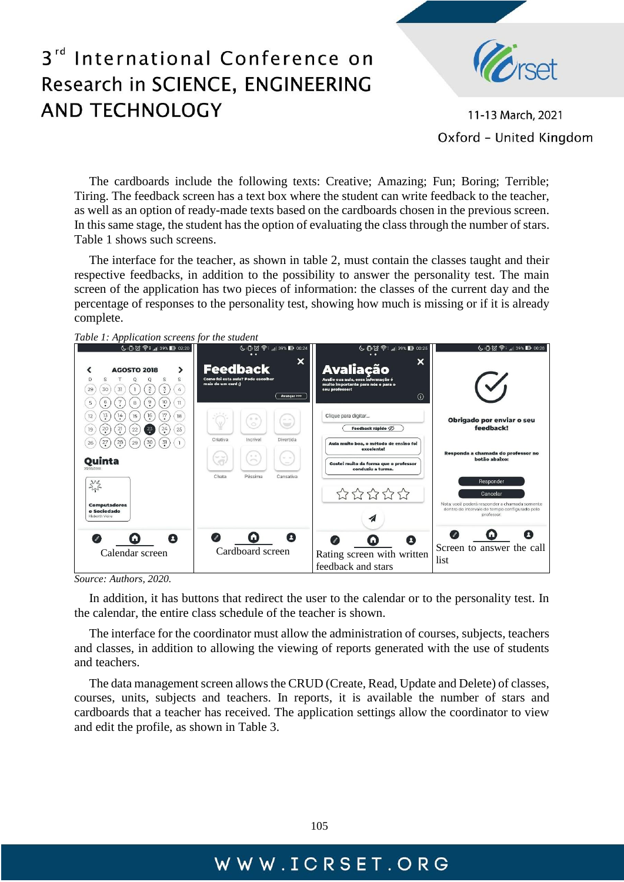

11-13 March, 2021 Oxford - United Kingdom

The cardboards include the following texts: Creative; Amazing; Fun; Boring; Terrible; Tiring. The feedback screen has a text box where the student can write feedback to the teacher, as well as an option of ready-made texts based on the cardboards chosen in the previous screen. In this same stage, the student has the option of evaluating the class through the number of stars. Table 1 shows such screens.

The interface for the teacher, as shown in table 2, must contain the classes taught and their respective feedbacks, in addition to the possibility to answer the personality test. The main screen of the application has two pieces of information: the classes of the current day and the percentage of responses to the personality test, showing how much is missing or if it is already complete.





*Source: Authors, 2020.*

In addition, it has buttons that redirect the user to the calendar or to the personality test. In the calendar, the entire class schedule of the teacher is shown.

The interface for the coordinator must allow the administration of courses, subjects, teachers and classes, in addition to allowing the viewing of reports generated with the use of students and teachers.

The data management screen allows the CRUD (Create, Read, Update and Delete) of classes, courses, units, subjects and teachers. In reports, it is available the number of stars and cardboards that a teacher has received. The application settings allow the coordinator to view and edit the profile, as shown in Table 3.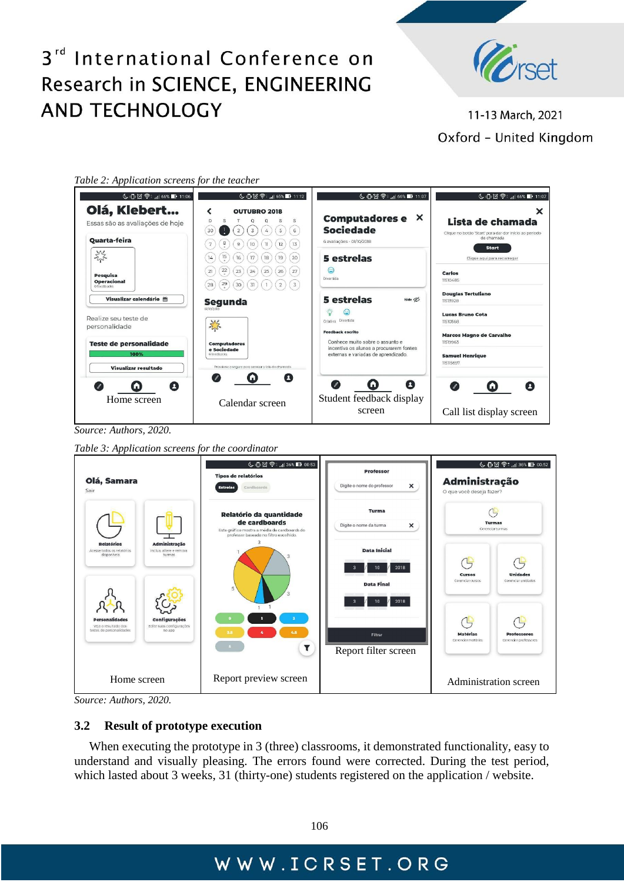

11-13 March, 2021 Oxford - United Kingdom

| Table 2: Application screens for the teacher |  |  |
|----------------------------------------------|--|--|
|                                              |  |  |

| ↓10 (2) < 11:06                                                                                                                   | <b>↓ 10 2 全  65% 1 11:12</b>                                                                                                                                                      | <b>↓ 10 ② 令 ., 1 66% ■ 11:07</b>                                                                                                                                                                  | ↓100 令 168 11:07                                                                                                                                            |
|-----------------------------------------------------------------------------------------------------------------------------------|-----------------------------------------------------------------------------------------------------------------------------------------------------------------------------------|---------------------------------------------------------------------------------------------------------------------------------------------------------------------------------------------------|-------------------------------------------------------------------------------------------------------------------------------------------------------------|
| Olá, Klebert<br>Essas são as avaliações de hoje<br><b>Ouarta-feira</b>                                                            | <b>OUTUBRO 2018</b><br>D<br>S<br>s<br>S<br>O<br>$\mathsf S$<br>$\,$ 6<br>30<br>$\mathfrak Z$<br>$\overline{2}$<br>$\overline{4}$<br>8<br>13<br>12<br>7<br>10<br>$\mathbb{I}$<br>9 | <b>Computadores e</b><br>X<br><b>Sociedade</b><br>6 avaliações - 01/10/2018                                                                                                                       | ×<br>Lista de chamada<br>Clique no botão 'Start' para dar dar início ao período<br>de chamada<br><b>Start</b>                                               |
| $2\frac{3}{5}$<br>Pesquisa<br><b>Operacional</b><br>0 feedbacks                                                                   | 20<br>19<br>17<br>18<br>14<br>16<br>22<br>27<br>23<br>24<br>25<br>26<br>21<br>$\frac{29}{1}$<br>31<br>$\left(3\right)$<br>30<br>$\overline{2}$<br>28<br>$\overline{1}$            | 5 estrelas<br>⊜<br>Divertida                                                                                                                                                                      | Clique aqui para recarregar<br>Carlos<br>11510485                                                                                                           |
| Visualizar calendário 筒<br>Realize seu teste de<br>personalidade<br><b>Teste de personalidade</b><br>100%<br>Visualizar resultado | Segunda<br>01/10/2018<br>祭<br><b>Computadores</b><br>e Sociedade<br>6 feedbacks<br>Pressione e segure para acessar a tela de chamada                                              | <b>5</b> estrelas<br>hide Ø<br>Criativa Divertida<br><b>Feedback escrito</b><br>Conhece muito sobre o assunto e<br>incentiva os alunos a procurarem fontes<br>externas e variadas de aprendizado. | <b>Douglas Tertuliano</b><br>11513928<br><b>Lucas Bruno Cota</b><br>11510568<br>Marcos Magno de Carvalho<br>11519963<br><b>Samuel Henrique</b><br>115115697 |
| A<br>GI<br>Home screen                                                                                                            | ø<br>$\mathscr{I}$<br>п<br>Calendar screen                                                                                                                                        | Ø<br>$\mathscr{L}$<br>ω<br>Student feedback display<br>screen                                                                                                                                     | $\overline{\ell}$<br>ω<br>л<br>Call list display screen                                                                                                     |

*Source: Authors, 2020.*

*Table 3: Application screens for the coordinator*

| Olá, Samara<br>Sair                                                                                                                     | ↓10日余,136%1100:53<br><b>Tipos de relatórios</b><br>Cardboards<br><b>Estrelas</b>                                                        | <b>Professor</b><br>Digite o nome do professor<br>×                  | ↓102 全:11 36% 1 00:52<br>Administração<br>O que você deseja fazer?                   |  |
|-----------------------------------------------------------------------------------------------------------------------------------------|-----------------------------------------------------------------------------------------------------------------------------------------|----------------------------------------------------------------------|--------------------------------------------------------------------------------------|--|
|                                                                                                                                         | Relatório da quantidade<br>de cardboards<br>Este gráfico mostra a média de cardboards do<br>professor baseado no filtro escolhido.<br>3 | Turma<br>Digite o nome da turma<br>×                                 | <b>Turmas</b><br>Gerenciar turmas                                                    |  |
| Administração<br><b>Relatórios</b><br>Inclua, altere e remova<br>Acesse todos os relatórios<br>disponíveis<br>turmas                    | 5                                                                                                                                       | <b>Data Inicial</b><br>2018<br>10<br><b>Data Final</b><br>2018<br>10 | <b>Unidades</b><br><b>Cursos</b><br>Gerenciar cursos<br>Gerenciar unidades           |  |
| <b>Configurações</b><br><b>Personalidades</b><br>Veia o resultado dos<br>Edite suas configurações<br>testes de personalidades<br>no app | 6.5                                                                                                                                     | Filtrar<br>Report filter screen                                      | <b>Matérias</b><br><b>Professores</b><br>Gerenciar matérias<br>Cerenciar professores |  |
| Home screen                                                                                                                             | Report preview screen                                                                                                                   |                                                                      | Administration screen                                                                |  |

*Source: Authors, 2020.*

#### **3.2 Result of prototype execution**

When executing the prototype in 3 (three) classrooms, it demonstrated functionality, easy to understand and visually pleasing. The errors found were corrected. During the test period, which lasted about 3 weeks, 31 (thirty-one) students registered on the application / website.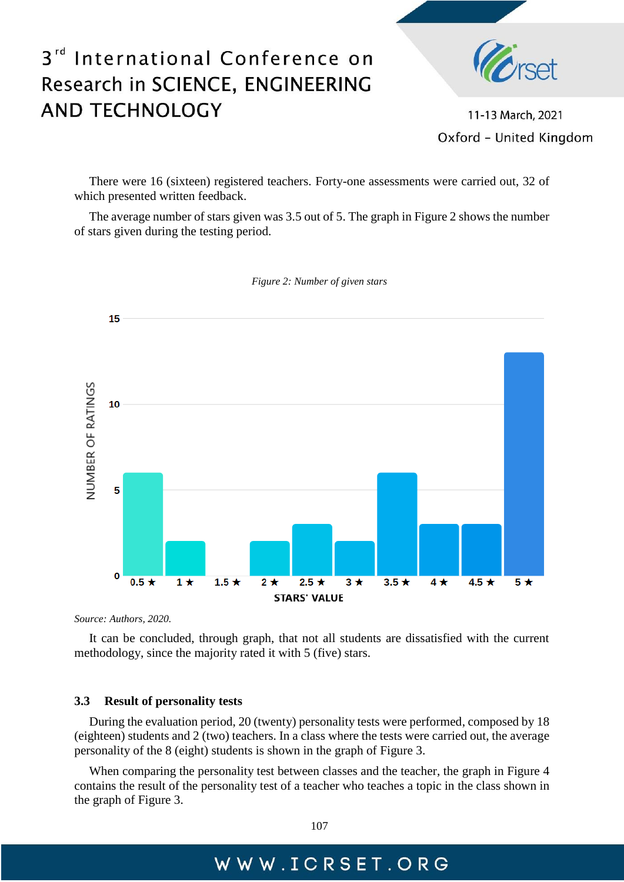## International Conference on  $3<sup>rd</sup>$ Research in SCIENCE, ENGINEERING **AND TECHNOLOGY**



11-13 March, 2021 Oxford - United Kingdom

There were 16 (sixteen) registered teachers. Forty-one assessments were carried out, 32 of which presented written feedback.

The average number of stars given was 3.5 out of 5. The graph in Figure 2 shows the number of stars given during the testing period.



*Figure 2: Number of given stars* 

*Source: Authors, 2020.*

It can be concluded, through graph, that not all students are dissatisfied with the current methodology, since the majority rated it with 5 (five) stars.

#### **3.3 Result of personality tests**

During the evaluation period, 20 (twenty) personality tests were performed, composed by 18 (eighteen) students and 2 (two) teachers. In a class where the tests were carried out, the average personality of the 8 (eight) students is shown in the graph of Figure 3.

When comparing the personality test between classes and the teacher, the graph in Figure 4 contains the result of the personality test of a teacher who teaches a topic in the class shown in the graph of Figure 3.

107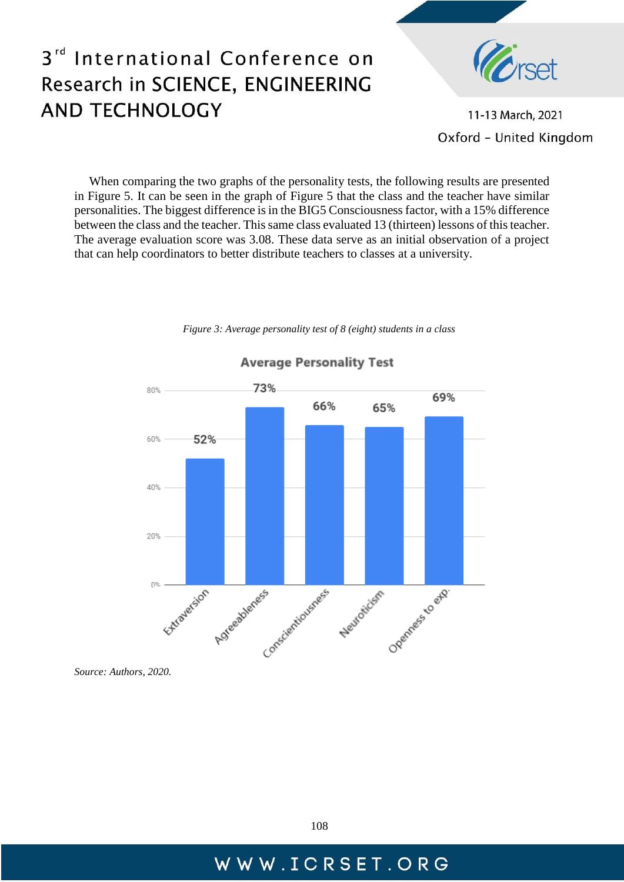

11-13 March, 2021 Oxford - United Kingdom

When comparing the two graphs of the personality tests, the following results are presented in Figure 5. It can be seen in the graph of Figure 5 that the class and the teacher have similar personalities. The biggest difference is in the BIG5 Consciousness factor, with a 15% difference between the class and the teacher. This same class evaluated 13 (thirteen) lessons of this teacher. The average evaluation score was 3.08. These data serve as an initial observation of a project that can help coordinators to better distribute teachers to classes at a university.



*Figure 3: Average personality test of 8 (eight) students in a class*

*Source: Authors, 2020.*

## **Average Personality Test**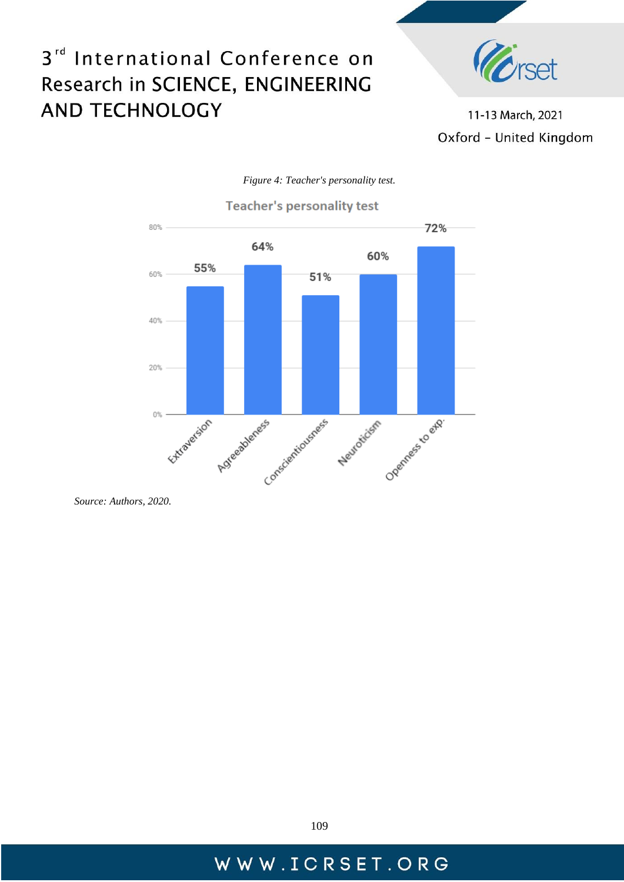

11-13 March, 2021 Oxford - United Kingdom



#### *Figure 4: Teacher's personality test.*

*Source: Authors, 2020.*

109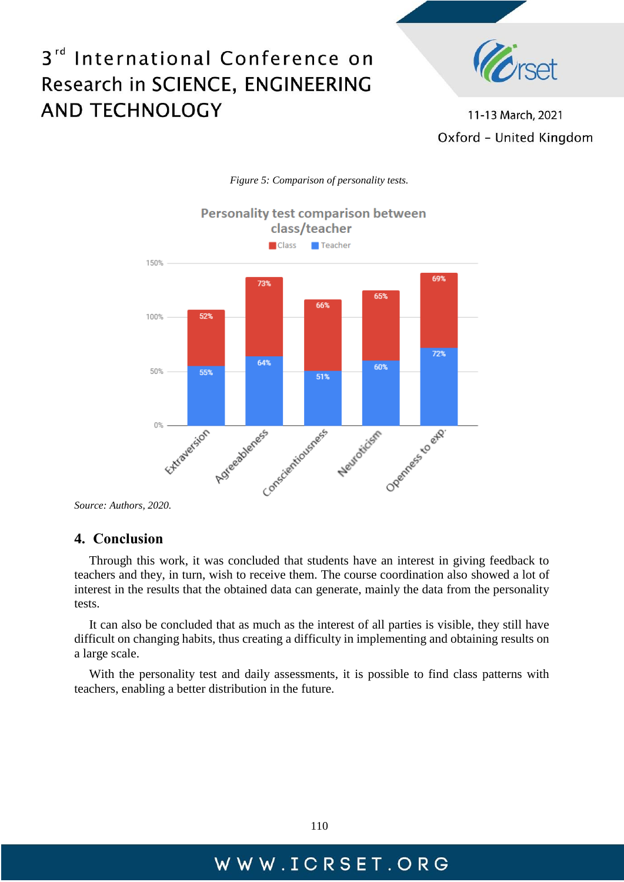

11-13 March, 2021 Oxford - United Kingdom



*Figure 5: Comparison of personality tests.*

#### **4. Conclusion**

Through this work, it was concluded that students have an interest in giving feedback to teachers and they, in turn, wish to receive them. The course coordination also showed a lot of interest in the results that the obtained data can generate, mainly the data from the personality tests.

It can also be concluded that as much as the interest of all parties is visible, they still have difficult on changing habits, thus creating a difficulty in implementing and obtaining results on a large scale.

With the personality test and daily assessments, it is possible to find class patterns with teachers, enabling a better distribution in the future.

*Source: Authors, 2020.*